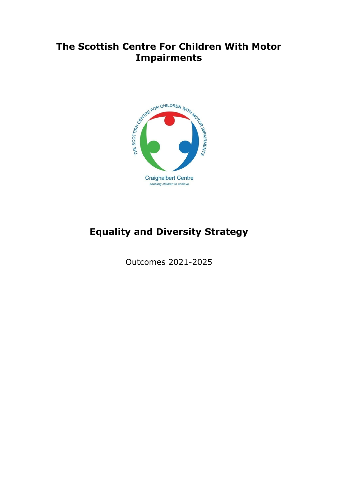## **The Scottish Centre For Children With Motor Impairments**



## **Equality and Diversity Strategy**

Outcomes 2021-2025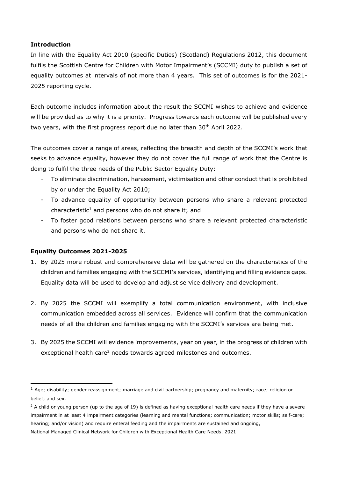## **Introduction**

In line with the Equality Act 2010 (specific Duties) (Scotland) Regulations 2012, this document fulfils the Scottish Centre for Children with Motor Impairment's (SCCMI) duty to publish a set of equality outcomes at intervals of not more than 4 years. This set of outcomes is for the 2021- 2025 reporting cycle.

Each outcome includes information about the result the SCCMI wishes to achieve and evidence will be provided as to why it is a priority. Progress towards each outcome will be published every two years, with the first progress report due no later than 30<sup>th</sup> April 2022.

The outcomes cover a range of areas, reflecting the breadth and depth of the SCCMI's work that seeks to advance equality, however they do not cover the full range of work that the Centre is doing to fulfil the three needs of the Public Sector Equality Duty:

- To eliminate discrimination, harassment, victimisation and other conduct that is prohibited by or under the Equality Act 2010;
- To advance equality of opportunity between persons who share a relevant protected characteristic<sup>1</sup> and persons who do not share it; and
- To foster good relations between persons who share a relevant protected characteristic and persons who do not share it.

## **Equality Outcomes 2021-2025**

- 1. By 2025 more robust and comprehensive data will be gathered on the characteristics of the children and families engaging with the SCCMI's services, identifying and filling evidence gaps. Equality data will be used to develop and adjust service delivery and development.
- 2. By 2025 the SCCMI will exemplify a total communication environment, with inclusive communication embedded across all services. Evidence will confirm that the communication needs of all the children and families engaging with the SCCMI's services are being met.
- 3. By 2025 the SCCMI will evidence improvements, year on year, in the progress of children with exceptional health care<sup>2</sup> needs towards agreed milestones and outcomes.

 $1$  Age; disability; gender reassignment; marriage and civil partnership; pregnancy and maternity; race; religion or belief; and sex.

 $2$  A child or young person (up to the age of 19) is defined as having exceptional health care needs if they have a severe impairment in at least 4 impairment categories (learning and mental functions; communication; motor skills; self-care; hearing; and/or vision) and require enteral feeding and the impairments are sustained and ongoing,

National Managed Clinical Network for Children with Exceptional Health Care Needs. 2021